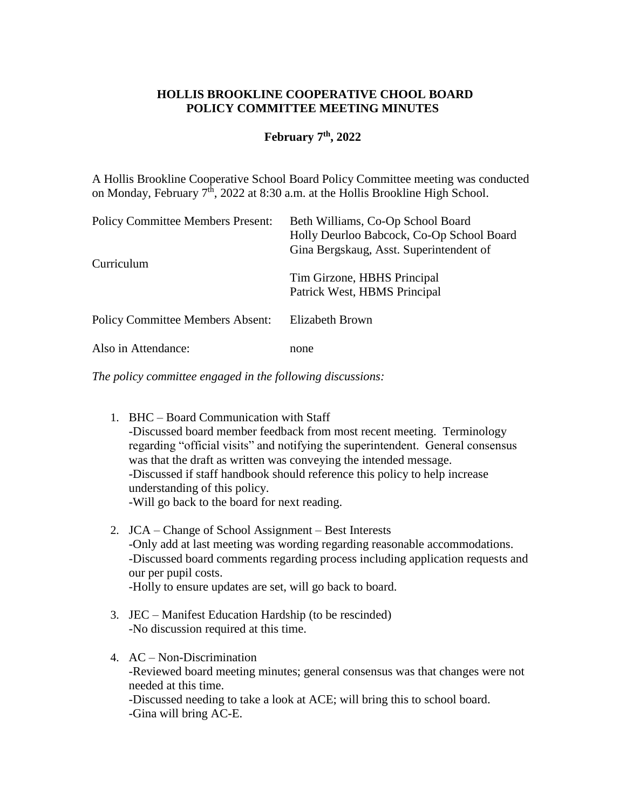## **HOLLIS BROOKLINE COOPERATIVE CHOOL BOARD POLICY COMMITTEE MEETING MINUTES**

## **February 7 th, 2022**

A Hollis Brookline Cooperative School Board Policy Committee meeting was conducted on Monday, February  $7<sup>th</sup>$ , 2022 at 8:30 a.m. at the Hollis Brookline High School.

| <b>Policy Committee Members Present:</b> | Beth Williams, Co-Op School Board<br>Holly Deurloo Babcock, Co-Op School Board<br>Gina Bergskaug, Asst. Superintendent of |
|------------------------------------------|---------------------------------------------------------------------------------------------------------------------------|
| Curriculum                               | Tim Girzone, HBHS Principal<br>Patrick West, HBMS Principal                                                               |
| <b>Policy Committee Members Absent:</b>  | Elizabeth Brown                                                                                                           |
| Also in Attendance:                      | none                                                                                                                      |

*The policy committee engaged in the following discussions:*

- 1. BHC Board Communication with Staff -Discussed board member feedback from most recent meeting. Terminology regarding "official visits" and notifying the superintendent. General consensus was that the draft as written was conveying the intended message. -Discussed if staff handbook should reference this policy to help increase understanding of this policy. -Will go back to the board for next reading.
- 2. JCA Change of School Assignment Best Interests -Only add at last meeting was wording regarding reasonable accommodations. -Discussed board comments regarding process including application requests and our per pupil costs. -Holly to ensure updates are set, will go back to board.
- 3. JEC Manifest Education Hardship (to be rescinded) -No discussion required at this time.
- 4. AC Non-Discrimination -Reviewed board meeting minutes; general consensus was that changes were not needed at this time. -Discussed needing to take a look at ACE; will bring this to school board. -Gina will bring AC-E.